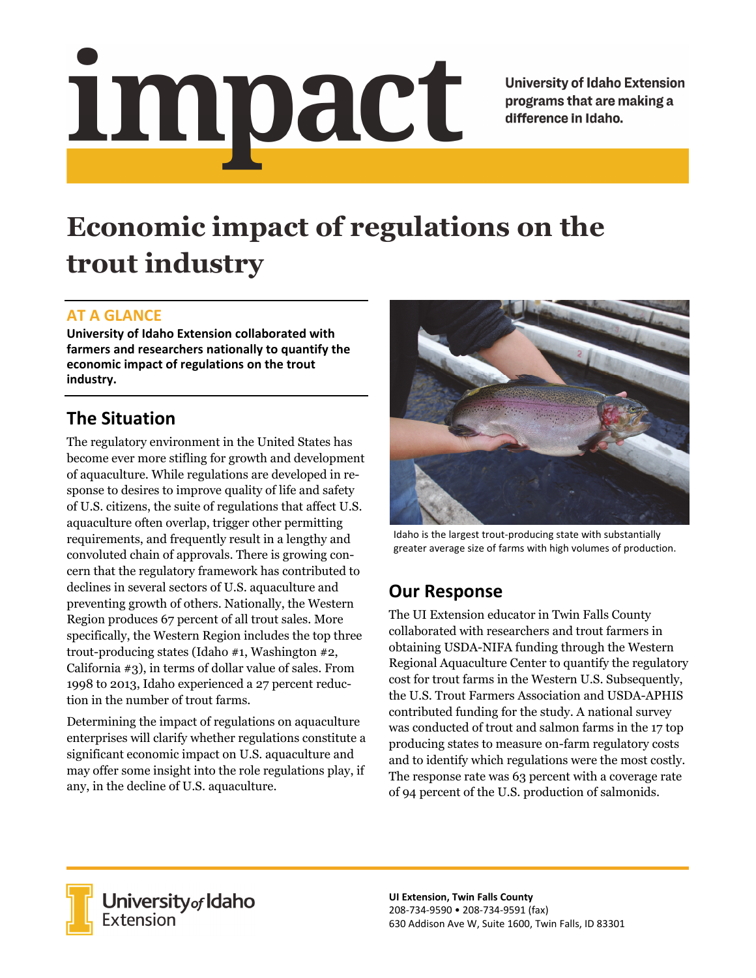# <u>impact</u>

**University of Idaho Extension** programs that are making a difference in Idaho.

# **Economic impact of regulations on the trout industry**

#### **AT A GLANCE**

**University of Idaho Extension collaborated with farmers and researchers nationally to quantify the economic impact of regulations on the trout industry.** 

# **The Situation**

The regulatory environment in the United States has become ever more stifling for growth and development of aquaculture. While regulations are developed in response to desires to improve quality of life and safety of U.S. citizens, the suite of regulations that affect U.S. aquaculture often overlap, trigger other permitting requirements, and frequently result in a lengthy and convoluted chain of approvals. There is growing concern that the regulatory framework has contributed to declines in several sectors of U.S. aquaculture and preventing growth of others. Nationally, the Western Region produces 67 percent of all trout sales. More specifically, the Western Region includes the top three trout-producing states (Idaho #1, Washington #2, California #3), in terms of dollar value of sales. From 1998 to 2013, Idaho experienced a 27 percent reduction in the number of trout farms.

Determining the impact of regulations on aquaculture enterprises will clarify whether regulations constitute a significant economic impact on U.S. aquaculture and may offer some insight into the role regulations play, if any, in the decline of U.S. aquaculture.



Idaho is the largest trout‐producing state with substantially greater average size of farms with high volumes of production.

# **Our Response**

The UI Extension educator in Twin Falls County collaborated with researchers and trout farmers in obtaining USDA-NIFA funding through the Western Regional Aquaculture Center to quantify the regulatory cost for trout farms in the Western U.S. Subsequently, the U.S. Trout Farmers Association and USDA-APHIS contributed funding for the study. A national survey was conducted of trout and salmon farms in the 17 top producing states to measure on-farm regulatory costs and to identify which regulations were the most costly. The response rate was 63 percent with a coverage rate of 94 percent of the U.S. production of salmonids.



**University** of Idaho<br>Extension

**UI Extension, Twin Falls County**  208‐734‐9590 • 208‐734‐9591 (fax) 630 Addison Ave W, Suite 1600, Twin Falls, ID 83301